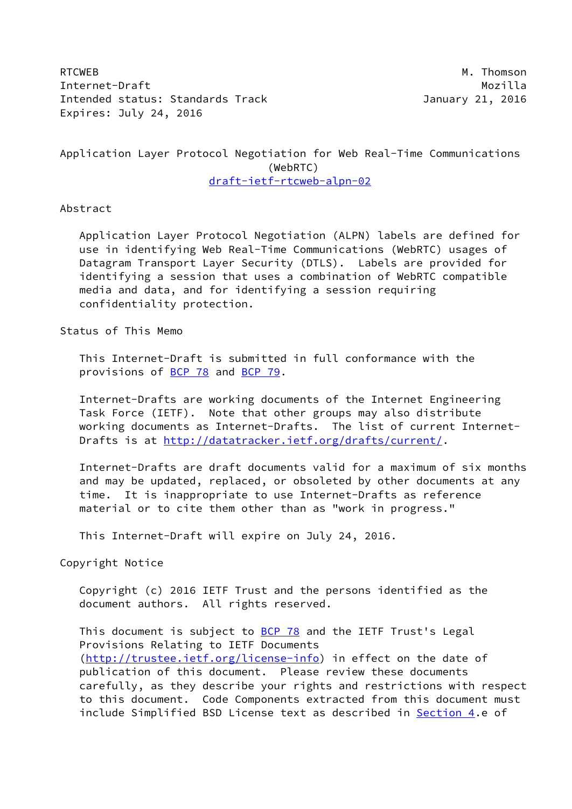RTCWEB M. Thomson Internet-Draft Mozilla Intended status: Standards Track January 21, 2016 Expires: July 24, 2016

Application Layer Protocol Negotiation for Web Real-Time Communications (WebRTC) [draft-ietf-rtcweb-alpn-02](https://datatracker.ietf.org/doc/pdf/draft-ietf-rtcweb-alpn-02)

## Abstract

 Application Layer Protocol Negotiation (ALPN) labels are defined for use in identifying Web Real-Time Communications (WebRTC) usages of Datagram Transport Layer Security (DTLS). Labels are provided for identifying a session that uses a combination of WebRTC compatible media and data, and for identifying a session requiring confidentiality protection.

Status of This Memo

 This Internet-Draft is submitted in full conformance with the provisions of [BCP 78](https://datatracker.ietf.org/doc/pdf/bcp78) and [BCP 79](https://datatracker.ietf.org/doc/pdf/bcp79).

 Internet-Drafts are working documents of the Internet Engineering Task Force (IETF). Note that other groups may also distribute working documents as Internet-Drafts. The list of current Internet Drafts is at<http://datatracker.ietf.org/drafts/current/>.

 Internet-Drafts are draft documents valid for a maximum of six months and may be updated, replaced, or obsoleted by other documents at any time. It is inappropriate to use Internet-Drafts as reference material or to cite them other than as "work in progress."

This Internet-Draft will expire on July 24, 2016.

Copyright Notice

 Copyright (c) 2016 IETF Trust and the persons identified as the document authors. All rights reserved.

This document is subject to **[BCP 78](https://datatracker.ietf.org/doc/pdf/bcp78)** and the IETF Trust's Legal Provisions Relating to IETF Documents [\(http://trustee.ietf.org/license-info](http://trustee.ietf.org/license-info)) in effect on the date of publication of this document. Please review these documents carefully, as they describe your rights and restrictions with respect to this document. Code Components extracted from this document must include Simplified BSD License text as described in [Section 4.](#page-3-0)e of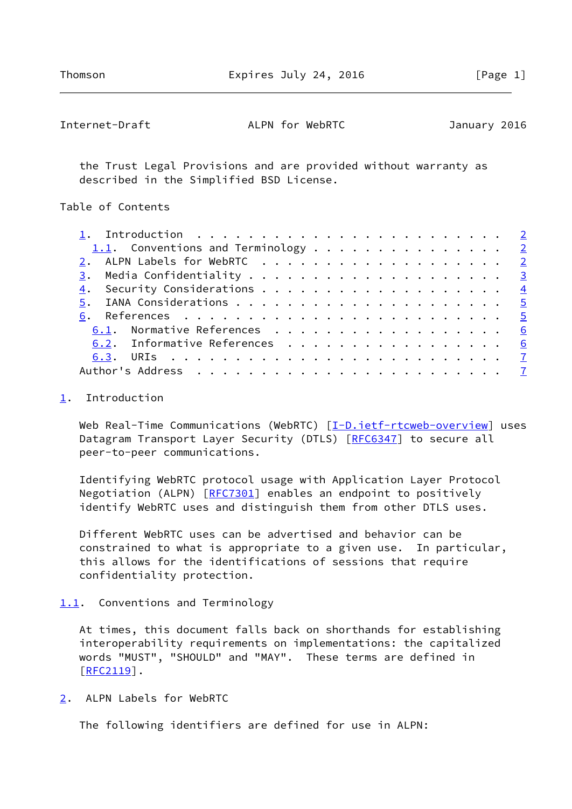<span id="page-1-1"></span>

| Internet-Draft | ALPN for WebRTC | January 2016 |
|----------------|-----------------|--------------|
|----------------|-----------------|--------------|

 the Trust Legal Provisions and are provided without warranty as described in the Simplified BSD License.

Table of Contents

| 1.1. Conventions and Terminology 2 |  |  |  |  |  |  |  |  |
|------------------------------------|--|--|--|--|--|--|--|--|
| 2. ALPN Labels for WebRTC 2        |  |  |  |  |  |  |  |  |
|                                    |  |  |  |  |  |  |  |  |
|                                    |  |  |  |  |  |  |  |  |
|                                    |  |  |  |  |  |  |  |  |
|                                    |  |  |  |  |  |  |  |  |
| 6.1. Normative References 6        |  |  |  |  |  |  |  |  |
| 6.2. Informative References 6      |  |  |  |  |  |  |  |  |
|                                    |  |  |  |  |  |  |  |  |
|                                    |  |  |  |  |  |  |  |  |

## <span id="page-1-0"></span>[1](#page-1-0). Introduction

Web Real-Time Communications (WebRTC) [[I-D.ietf-rtcweb-overview\]](#page-6-2) uses Datagram Transport Layer Security (DTLS) [\[RFC6347](https://datatracker.ietf.org/doc/pdf/rfc6347)] to secure all peer-to-peer communications.

 Identifying WebRTC protocol usage with Application Layer Protocol Negotiation (ALPN) [[RFC7301\]](https://datatracker.ietf.org/doc/pdf/rfc7301) enables an endpoint to positively identify WebRTC uses and distinguish them from other DTLS uses.

 Different WebRTC uses can be advertised and behavior can be constrained to what is appropriate to a given use. In particular, this allows for the identifications of sessions that require confidentiality protection.

<span id="page-1-2"></span>[1.1](#page-1-2). Conventions and Terminology

 At times, this document falls back on shorthands for establishing interoperability requirements on implementations: the capitalized words "MUST", "SHOULD" and "MAY". These terms are defined in [\[RFC2119](https://datatracker.ietf.org/doc/pdf/rfc2119)].

<span id="page-1-3"></span>[2](#page-1-3). ALPN Labels for WebRTC

The following identifiers are defined for use in ALPN: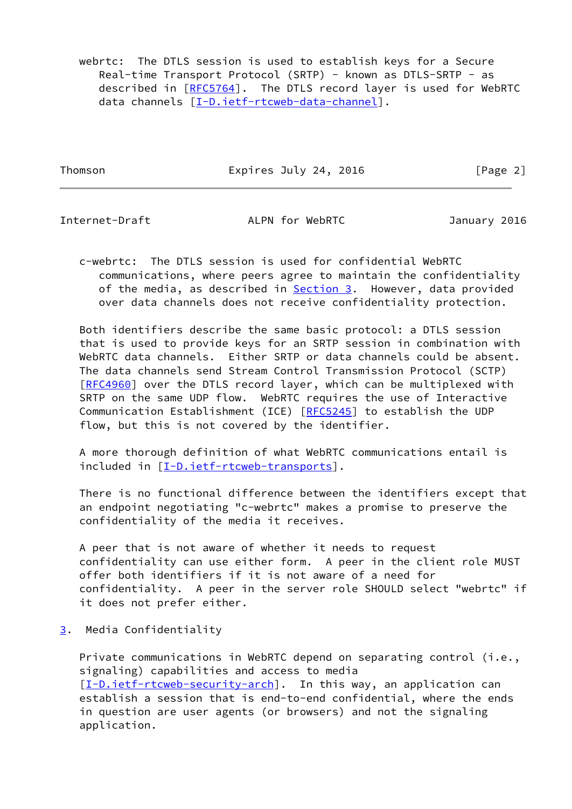webrtc: The DTLS session is used to establish keys for a Secure Real-time Transport Protocol (SRTP) - known as DTLS-SRTP - as described in [\[RFC5764](https://datatracker.ietf.org/doc/pdf/rfc5764)]. The DTLS record layer is used for WebRTC data channels [\[I-D.ietf-rtcweb-data-channel](#page-5-3)].

Thomson **Expires July 24, 2016** [Page 2]

<span id="page-2-1"></span>Internet-Draft ALPN for WebRTC January 2016

 c-webrtc: The DTLS session is used for confidential WebRTC communications, where peers agree to maintain the confidentiality of the media, as described in **Section 3.** However, data provided over data channels does not receive confidentiality protection.

 Both identifiers describe the same basic protocol: a DTLS session that is used to provide keys for an SRTP session in combination with WebRTC data channels. Either SRTP or data channels could be absent. The data channels send Stream Control Transmission Protocol (SCTP) [\[RFC4960](https://datatracker.ietf.org/doc/pdf/rfc4960)] over the DTLS record layer, which can be multiplexed with SRTP on the same UDP flow. WebRTC requires the use of Interactive Communication Establishment (ICE) [[RFC5245](https://datatracker.ietf.org/doc/pdf/rfc5245)] to establish the UDP flow, but this is not covered by the identifier.

 A more thorough definition of what WebRTC communications entail is included in [\[I-D.ietf-rtcweb-transports\]](#page-6-3).

 There is no functional difference between the identifiers except that an endpoint negotiating "c-webrtc" makes a promise to preserve the confidentiality of the media it receives.

 A peer that is not aware of whether it needs to request confidentiality can use either form. A peer in the client role MUST offer both identifiers if it is not aware of a need for confidentiality. A peer in the server role SHOULD select "webrtc" if it does not prefer either.

<span id="page-2-0"></span>[3](#page-2-0). Media Confidentiality

Private communications in WebRTC depend on separating control (i.e., signaling) capabilities and access to media [\[I-D.ietf-rtcweb-security-arch](#page-6-4)]. In this way, an application can establish a session that is end-to-end confidential, where the ends in question are user agents (or browsers) and not the signaling application.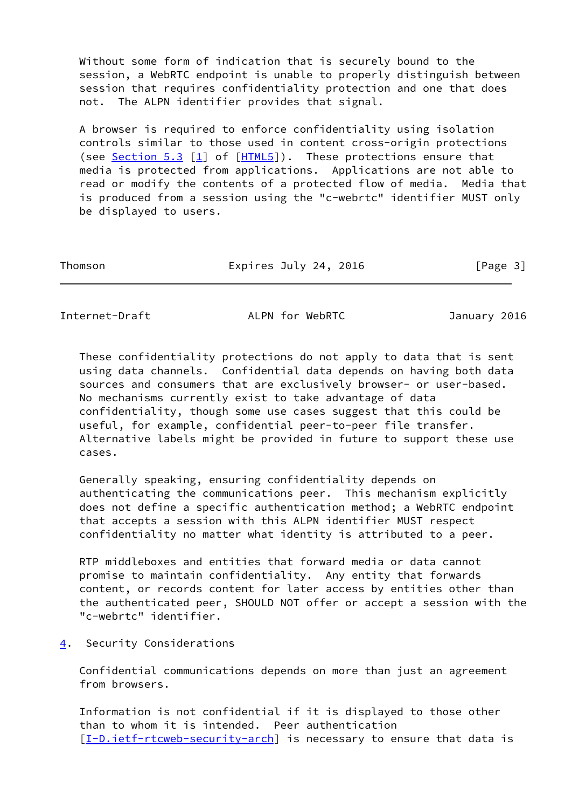Without some form of indication that is securely bound to the session, a WebRTC endpoint is unable to properly distinguish between session that requires confidentiality protection and one that does not. The ALPN identifier provides that signal.

 A browser is required to enforce confidentiality using isolation controls similar to those used in content cross-origin protections (see Section 5.3  $[1]$  of  $[HTML5]$  $[HTML5]$ ). These protections ensure that media is protected from applications. Applications are not able to read or modify the contents of a protected flow of media. Media that is produced from a session using the "c-webrtc" identifier MUST only be displayed to users.

| Expires July 24, 2016 | [Page 3] |
|-----------------------|----------|
|                       |          |

<span id="page-3-1"></span>Internet-Draft ALPN for WebRTC January 2016

 These confidentiality protections do not apply to data that is sent using data channels. Confidential data depends on having both data sources and consumers that are exclusively browser- or user-based. No mechanisms currently exist to take advantage of data confidentiality, though some use cases suggest that this could be useful, for example, confidential peer-to-peer file transfer. Alternative labels might be provided in future to support these use cases.

 Generally speaking, ensuring confidentiality depends on authenticating the communications peer. This mechanism explicitly does not define a specific authentication method; a WebRTC endpoint that accepts a session with this ALPN identifier MUST respect confidentiality no matter what identity is attributed to a peer.

 RTP middleboxes and entities that forward media or data cannot promise to maintain confidentiality. Any entity that forwards content, or records content for later access by entities other than the authenticated peer, SHOULD NOT offer or accept a session with the "c-webrtc" identifier.

<span id="page-3-0"></span>[4](#page-3-0). Security Considerations

 Confidential communications depends on more than just an agreement from browsers.

 Information is not confidential if it is displayed to those other than to whom it is intended. Peer authentication [\[I-D.ietf-rtcweb-security-arch](#page-6-4)] is necessary to ensure that data is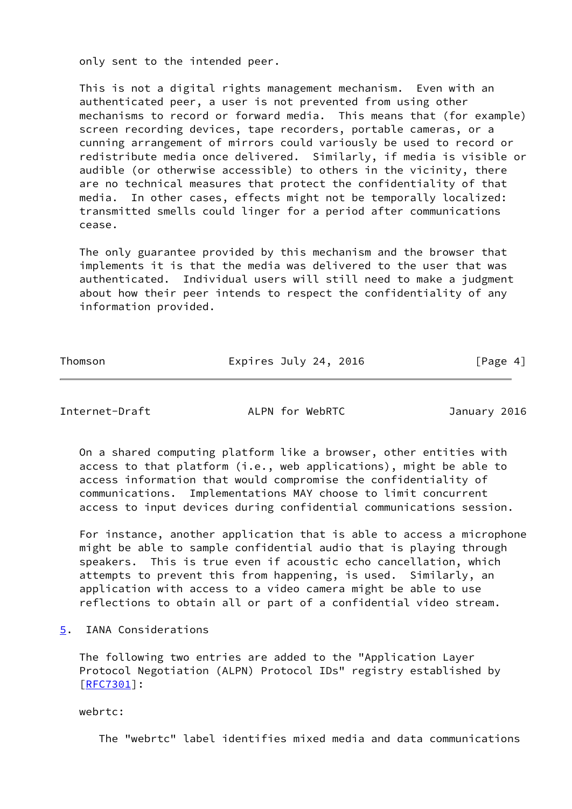only sent to the intended peer.

 This is not a digital rights management mechanism. Even with an authenticated peer, a user is not prevented from using other mechanisms to record or forward media. This means that (for example) screen recording devices, tape recorders, portable cameras, or a cunning arrangement of mirrors could variously be used to record or redistribute media once delivered. Similarly, if media is visible or audible (or otherwise accessible) to others in the vicinity, there are no technical measures that protect the confidentiality of that media. In other cases, effects might not be temporally localized: transmitted smells could linger for a period after communications cease.

 The only guarantee provided by this mechanism and the browser that implements it is that the media was delivered to the user that was authenticated. Individual users will still need to make a judgment about how their peer intends to respect the confidentiality of any information provided.

Thomson **Expires July 24, 2016** [Page 4]

<span id="page-4-1"></span>Internet-Draft ALPN for WebRTC January 2016

 On a shared computing platform like a browser, other entities with access to that platform (i.e., web applications), might be able to access information that would compromise the confidentiality of communications. Implementations MAY choose to limit concurrent access to input devices during confidential communications session.

 For instance, another application that is able to access a microphone might be able to sample confidential audio that is playing through speakers. This is true even if acoustic echo cancellation, which attempts to prevent this from happening, is used. Similarly, an application with access to a video camera might be able to use reflections to obtain all or part of a confidential video stream.

<span id="page-4-0"></span>[5](#page-4-0). IANA Considerations

 The following two entries are added to the "Application Layer Protocol Negotiation (ALPN) Protocol IDs" registry established by [\[RFC7301](https://datatracker.ietf.org/doc/pdf/rfc7301)]:

webrtc:

The "webrtc" label identifies mixed media and data communications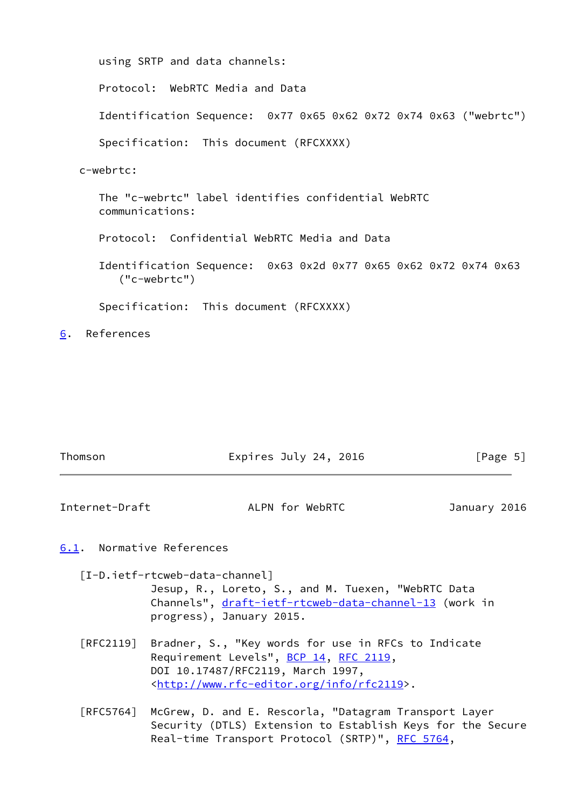```
 using SRTP and data channels:
   Protocol: WebRTC Media and Data
   Identification Sequence: 0x77 0x65 0x62 0x72 0x74 0x63 ("webrtc")
   Specification: This document (RFCXXXX)
c-webrtc:
   The "c-webrtc" label identifies confidential WebRTC
   communications:
  Protocol: Confidential WebRTC Media and Data
   Identification Sequence: 0x63 0x2d 0x77 0x65 0x62 0x72 0x74 0x63
      ("c-webrtc")
   Specification: This document (RFCXXXX)
```
<span id="page-5-0"></span>[6](#page-5-0). References

<span id="page-5-2"></span>

| Thomson                      | Expires July 24, 2016 | [Page 5]     |
|------------------------------|-----------------------|--------------|
| Internet-Draft               | ALPN for WebRTC       | January 2016 |
| Normative References<br>6.1. |                       |              |

<span id="page-5-3"></span><span id="page-5-1"></span> [I-D.ietf-rtcweb-data-channel] Jesup, R., Loreto, S., and M. Tuexen, "WebRTC Data Channels", [draft-ietf-rtcweb-data-channel-13](https://datatracker.ietf.org/doc/pdf/draft-ietf-rtcweb-data-channel-13) (work in

progress), January 2015.

 [RFC2119] Bradner, S., "Key words for use in RFCs to Indicate Requirement Levels", [BCP 14](https://datatracker.ietf.org/doc/pdf/bcp14), [RFC 2119](https://datatracker.ietf.org/doc/pdf/rfc2119), DOI 10.17487/RFC2119, March 1997, <<http://www.rfc-editor.org/info/rfc2119>>.

 [RFC5764] McGrew, D. and E. Rescorla, "Datagram Transport Layer Security (DTLS) Extension to Establish Keys for the Secure Real-time Transport Protocol (SRTP)", [RFC 5764](https://datatracker.ietf.org/doc/pdf/rfc5764),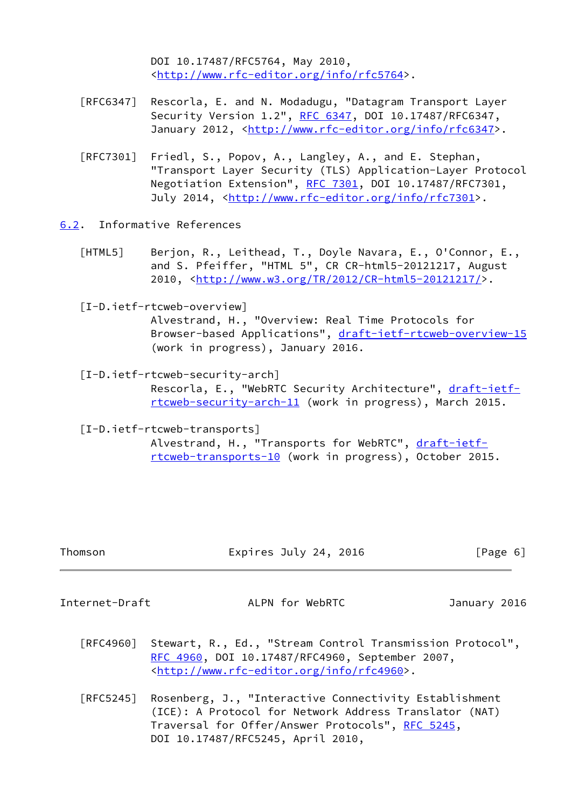DOI 10.17487/RFC5764, May 2010, <<http://www.rfc-editor.org/info/rfc5764>>.

- [RFC6347] Rescorla, E. and N. Modadugu, "Datagram Transport Layer Security Version 1.2", [RFC 6347](https://datatracker.ietf.org/doc/pdf/rfc6347), DOI 10.17487/RFC6347, January 2012, [<http://www.rfc-editor.org/info/rfc6347](http://www.rfc-editor.org/info/rfc6347)>.
- [RFC7301] Friedl, S., Popov, A., Langley, A., and E. Stephan, "Transport Layer Security (TLS) Application-Layer Protocol Negotiation Extension", [RFC 7301,](https://datatracker.ietf.org/doc/pdf/rfc7301) DOI 10.17487/RFC7301, July 2014, <<http://www.rfc-editor.org/info/rfc7301>>.
- <span id="page-6-5"></span><span id="page-6-0"></span>[6.2](#page-6-0). Informative References
	- [HTML5] Berjon, R., Leithead, T., Doyle Navara, E., O'Connor, E., and S. Pfeiffer, "HTML 5", CR CR-html5-20121217, August 2010, [<http://www.w3.org/TR/2012/CR-html5-20121217/](http://www.w3.org/TR/2012/CR-html5-20121217/)>.
	- [I-D.ietf-rtcweb-overview]

<span id="page-6-2"></span> Alvestrand, H., "Overview: Real Time Protocols for Browser-based Applications", [draft-ietf-rtcweb-overview-15](https://datatracker.ietf.org/doc/pdf/draft-ietf-rtcweb-overview-15) (work in progress), January 2016.

<span id="page-6-4"></span> [I-D.ietf-rtcweb-security-arch] Rescorla, E., "WebRTC Security Architecture", [draft-ietf](https://datatracker.ietf.org/doc/pdf/draft-ietf-rtcweb-security-arch-11) [rtcweb-security-arch-11](https://datatracker.ietf.org/doc/pdf/draft-ietf-rtcweb-security-arch-11) (work in progress), March 2015.

<span id="page-6-3"></span>[I-D.ietf-rtcweb-transports]

Alvestrand, H., "Transports for WebRTC", [draft-ietf](https://datatracker.ietf.org/doc/pdf/draft-ietf-rtcweb-transports-10) [rtcweb-transports-10](https://datatracker.ietf.org/doc/pdf/draft-ietf-rtcweb-transports-10) (work in progress), October 2015.

| Thomson | Expires July 24, 2016 | [Page 6] |
|---------|-----------------------|----------|
|         |                       |          |

<span id="page-6-1"></span>Internet-Draft ALPN for WebRTC January 2016

- [RFC4960] Stewart, R., Ed., "Stream Control Transmission Protocol", [RFC 4960,](https://datatracker.ietf.org/doc/pdf/rfc4960) DOI 10.17487/RFC4960, September 2007, <<http://www.rfc-editor.org/info/rfc4960>>.
- [RFC5245] Rosenberg, J., "Interactive Connectivity Establishment (ICE): A Protocol for Network Address Translator (NAT) Traversal for Offer/Answer Protocols", [RFC 5245](https://datatracker.ietf.org/doc/pdf/rfc5245), DOI 10.17487/RFC5245, April 2010,